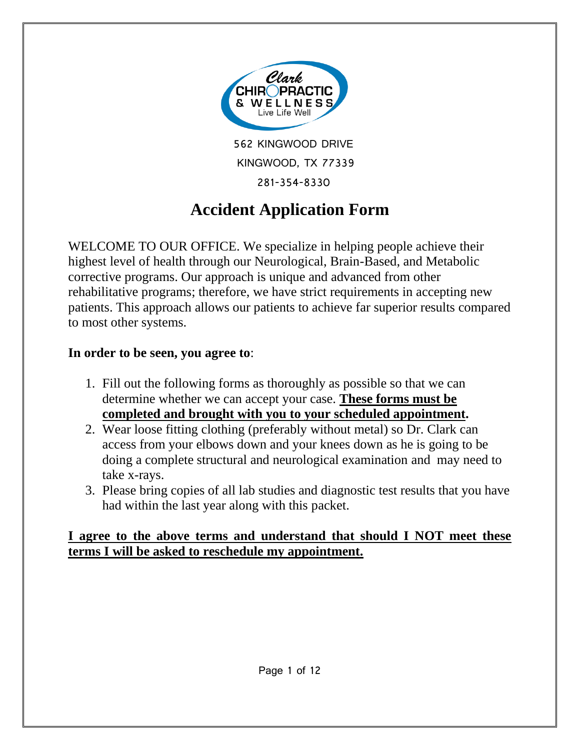

562 KINGWOOD DRIVE KINGWOOD, TX 77339 281-354-8330

# **Accident Application Form**

WELCOME TO OUR OFFICE. We specialize in helping people achieve their highest level of health through our Neurological, Brain-Based, and Metabolic corrective programs. Our approach is unique and advanced from other rehabilitative programs; therefore, we have strict requirements in accepting new patients. This approach allows our patients to achieve far superior results compared to most other systems.

# **In order to be seen, you agree to**:

- 1. Fill out the following forms as thoroughly as possible so that we can determine whether we can accept your case. **These forms must be completed and brought with you to your scheduled appointment.**
- 2. Wear loose fitting clothing (preferably without metal) so Dr. Clark can access from your elbows down and your knees down as he is going to be doing a complete structural and neurological examination and may need to take x-rays.
- 3. Please bring copies of all lab studies and diagnostic test results that you have had within the last year along with this packet.

# **I agree to the above terms and understand that should I NOT meet these terms I will be asked to reschedule my appointment.**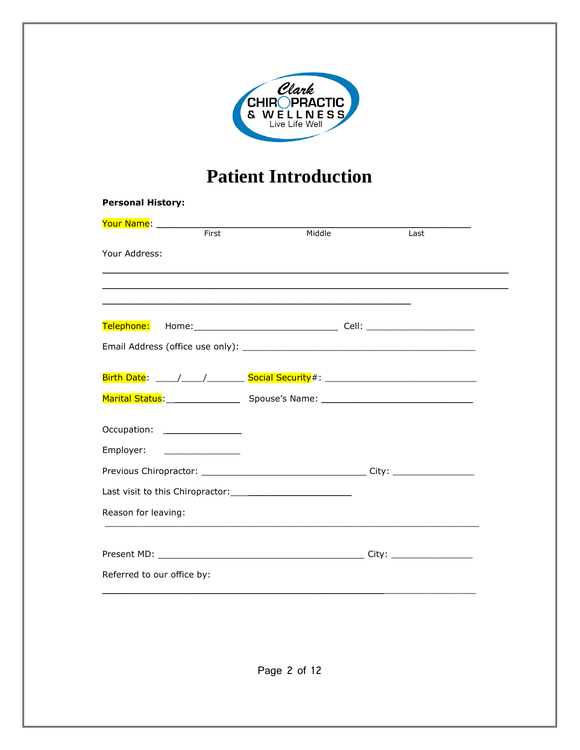

# **Patient Introduction**

| <b>Personal History:</b>                                                                                       |        |      |
|----------------------------------------------------------------------------------------------------------------|--------|------|
| <u>Your Name: ___________________________________</u>                                                          |        |      |
| First                                                                                                          | Middle | Last |
| Your Address:                                                                                                  |        |      |
|                                                                                                                |        |      |
|                                                                                                                |        |      |
|                                                                                                                |        |      |
|                                                                                                                |        |      |
|                                                                                                                |        |      |
|                                                                                                                |        |      |
| Marital Status: Marital Status: Marital Status: Marital Status: Marital Status: Marital Status: Marital Status |        |      |
| Occupation: _________________                                                                                  |        |      |
| Employer: _________________                                                                                    |        |      |
|                                                                                                                |        |      |
|                                                                                                                |        |      |
| Reason for leaving:                                                                                            |        |      |
|                                                                                                                |        |      |
|                                                                                                                |        |      |
| Referred to our office by:                                                                                     |        |      |
|                                                                                                                |        |      |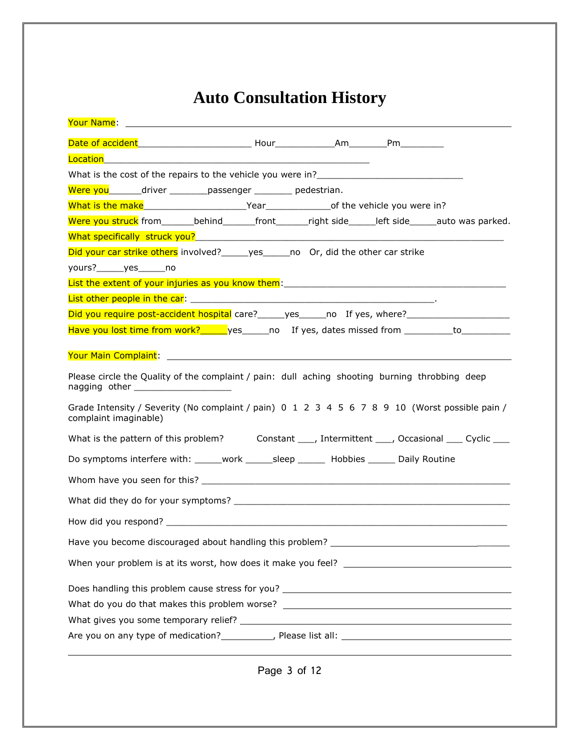# **Auto Consultation History**

| Were you________driver __________passenger __________ pedestrian.                                                                      |
|----------------------------------------------------------------------------------------------------------------------------------------|
| What is the make <b>Mate and South Contract Contract Contract</b> Control of the vehicle you were in?                                  |
| Were you struck from________behind________front_______right side______left side______auto was parked.                                  |
|                                                                                                                                        |
| Did your car strike others involved?_____yes_____no Or, did the other car strike                                                       |
| yours? yes no                                                                                                                          |
|                                                                                                                                        |
|                                                                                                                                        |
|                                                                                                                                        |
| Have you lost time from work? yes on the set of the set of the set of the set of the set of the set of the set o                       |
| Vour Main Complaint: 1999 - 1999 - 1999 - 1999 - 1999 - 1999 - 1999 - 1999 - 1999 - 1999 - 1999 - 1999 - 1999                          |
| Please circle the Quality of the complaint / pain: dull aching shooting burning throbbing deep<br>nagging other ______________________ |
| Grade Intensity / Severity (No complaint / pain) 0 1 2 3 4 5 6 7 8 9 10 (Worst possible pain /<br>complaint imaginable)                |
| What is the pattern of this problem? Constant ____, Intermittent ____, Occasional ____ Cyclic ____                                     |
| Do symptoms interfere with: ______work _______sleep _______ Hobbies _______ Daily Routine                                              |
|                                                                                                                                        |
|                                                                                                                                        |
|                                                                                                                                        |
| Have you become discouraged about handling this problem? _                                                                             |
|                                                                                                                                        |
|                                                                                                                                        |
| What do you do that makes this problem worse? ___________________________________                                                      |
|                                                                                                                                        |
|                                                                                                                                        |

Page 3 of 12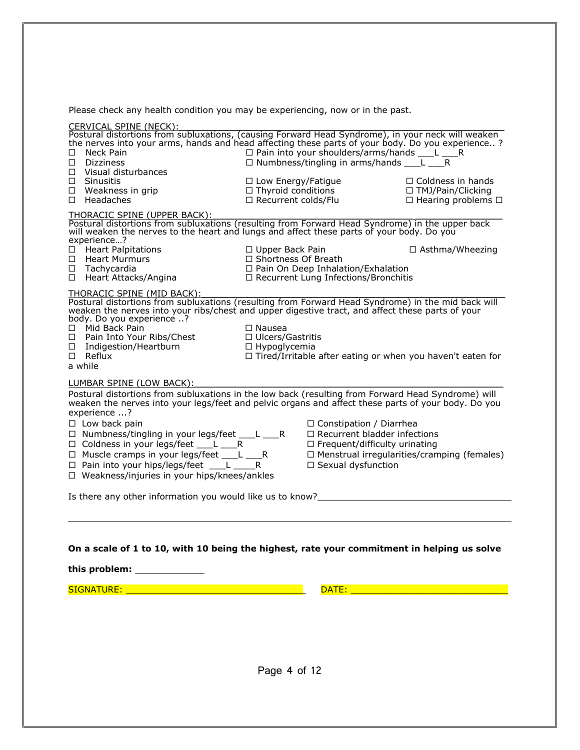Please check any health condition you may be experiencing, now or in the past.

| CERVICAL SPINE (NECK):<br>Postural distortions from subluxations, (causing Forward Head Syndrome), in your neck will weaken<br>the nerves into your arms, hands and head affecting these parts of your body. Do you experience ?<br>Neck Pain<br>П.<br>Dizziness<br>П.<br>Visual disturbances<br>$\Box$<br>$\Box$ Sinusitis<br>$\Box$ Weakness in grip<br>$\Box$ Headaches                                                                                                                                                           | □ Pain into your shoulders/arms/hands ___L ____R<br>$\Box$ Numbness/tingling in arms/hands ____L _____R<br>$\Box$ Low Energy/Fatigue<br>$\Box$ Thyroid conditions<br>□ Recurrent colds/Flu | $\Box$ Coldness in hands<br>□ TMJ/Pain/Clicking          |  |
|--------------------------------------------------------------------------------------------------------------------------------------------------------------------------------------------------------------------------------------------------------------------------------------------------------------------------------------------------------------------------------------------------------------------------------------------------------------------------------------------------------------------------------------|--------------------------------------------------------------------------------------------------------------------------------------------------------------------------------------------|----------------------------------------------------------|--|
| THORACIC SPINE (UPPER BACK):<br>Postural distortions from subluxations (resulting from Forward Head Syndrome) in the upper back<br>will weaken the nerves to the heart and lungs and affect these parts of your body. Do you<br>experience?<br>$\Box$ Heart Palpitations<br><b>Heart Murmurs</b><br>П.<br>$\Box$ Tachycardia<br>□ Heart Attacks/Angina                                                                                                                                                                               | □ Upper Back Pain<br>$\Box$ Shortness Of Breath<br>$\Box$ Pain On Deep Inhalation/Exhalation<br>□ Recurrent Lung Infections/Bronchitis                                                     | $\Box$ Hearing problems $\Box$<br>$\Box$ Asthma/Wheezing |  |
| THORACIC SPINE (MID BACK):<br>Postural distortions from subluxations (resulting from Forward Head Syndrome) in the mid back will<br>weaken the nerves into your ribs/chest and upper digestive tract, and affect these parts of your<br>body. Do you experience ?<br>□ Mid Back Pain<br>□ Pain Into Your Ribs/Chest<br>□ Indigestion/Heartburn<br>$\square$ Reflux<br>a while                                                                                                                                                        | $\Box$ Nausea<br>$\Box$ Ulcers/Gastritis<br>$\Box$ Hypoglycemia<br>$\Box$ Tired/Irritable after eating or when you haven't eaten for                                                       |                                                          |  |
| LUMBAR SPINE (LOW BACK):<br>Postural distortions from subluxations in the low back (resulting from Forward Head Syndrome) will<br>weaken the nerves into your legs/feet and pelvic organs and affect these parts of your body. Do you<br>experience ?<br>$\Box$ Low back pain<br>$\Box$ Numbness/tingling in your legs/feet ___L ___R<br>□ Coldness in your legs/feet ___L ____R<br>$\Box$ Muscle cramps in your legs/feet ___L ___R<br>$\Box$ Pain into your hips/legs/feet $\Box$<br>□ Weakness/injuries in your hips/knees/ankles | □ Constipation / Diarrhea<br>$\Box$ Recurrent bladder infections<br>$\Box$ Frequent/difficulty urinating<br>□ Sexual dysfunction                                                           | $\Box$ Menstrual irregularities/cramping (females)       |  |
| Is there any other information you would like us to know?_______________________                                                                                                                                                                                                                                                                                                                                                                                                                                                     |                                                                                                                                                                                            |                                                          |  |
| On a scale of 1 to 10, with 10 being the highest, rate your commitment in helping us solve                                                                                                                                                                                                                                                                                                                                                                                                                                           |                                                                                                                                                                                            |                                                          |  |
| SIGNATURE:                                                                                                                                                                                                                                                                                                                                                                                                                                                                                                                           | DATE: D                                                                                                                                                                                    |                                                          |  |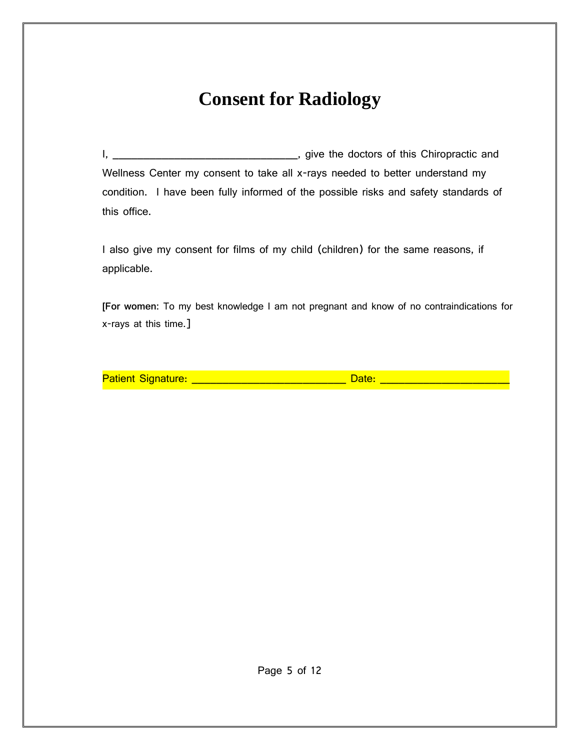# **Consent for Radiology**

I, \_\_\_\_\_\_\_\_\_\_\_\_\_\_\_\_\_\_\_\_\_\_\_\_\_\_\_\_\_\_, give the doctors of this Chiropractic and Wellness Center my consent to take all x-rays needed to better understand my condition. I have been fully informed of the possible risks and safety standards of this office.

I also give my consent for films of my child (children) for the same reasons, if applicable.

**[For women:** To my best knowledge I am not pregnant and know of no contraindications for x-rays at this time.]

Patient Signature: \_\_\_\_\_\_\_\_\_\_\_\_\_\_\_\_\_\_\_\_\_\_\_\_\_\_\_\_\_\_\_ Date: \_\_\_\_\_\_\_\_\_\_\_\_\_\_\_\_\_\_\_\_\_\_\_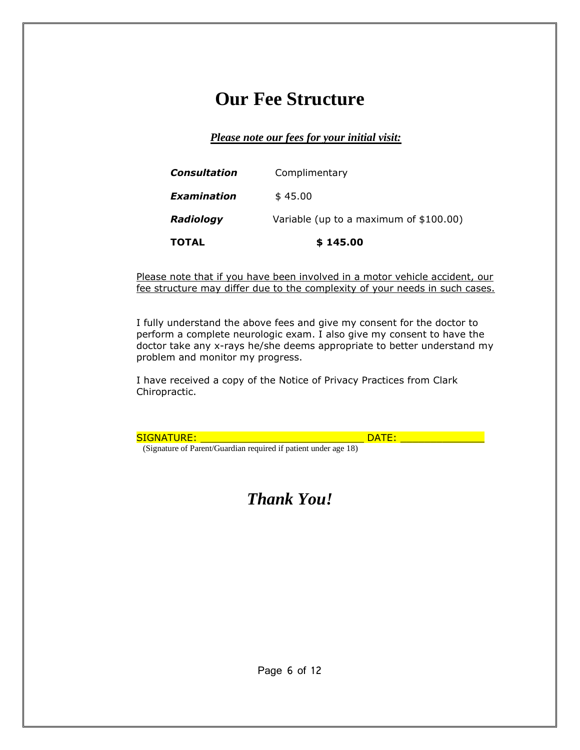# **Our Fee Structure**

*Please note our fees for your initial visit:*

| <b>TOTAL</b>     | \$145.00                               |
|------------------|----------------------------------------|
| <b>Radiology</b> | Variable (up to a maximum of \$100.00) |
| Examination      | \$45.00                                |
| Consultation     | Complimentary                          |

Please note that if you have been involved in a motor vehicle accident, our fee structure may differ due to the complexity of your needs in such cases.

I fully understand the above fees and give my consent for the doctor to perform a complete neurologic exam. I also give my consent to have the doctor take any x-rays he/she deems appropriate to better understand my problem and monitor my progress.

I have received a copy of the Notice of Privacy Practices from Clark Chiropractic.

SIGNATURE: DATE: \_\_\_\_\_\_\_\_\_\_\_\_\_\_ (Signature of Parent/Guardian required if patient under age 18)

*Thank You!*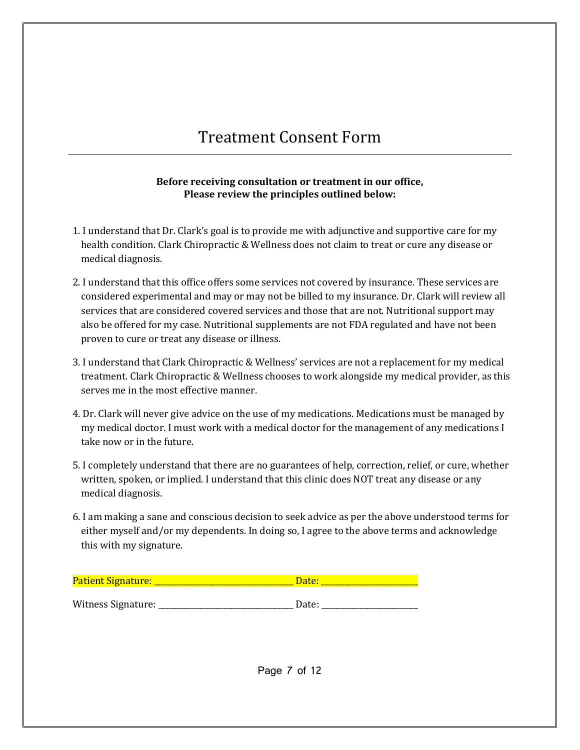# Treatment Consent Form

#### **Before receiving consultation or treatment in our office, Please review the principles outlined below:**

- 1. I understand that Dr. Clark's goal is to provide me with adjunctive and supportive care for my health condition. Clark Chiropractic & Wellness does not claim to treat or cure any disease or medical diagnosis.
- 2. I understand that this office offers some services not covered by insurance. These services are considered experimental and may or may not be billed to my insurance. Dr. Clark will review all services that are considered covered services and those that are not. Nutritional support may also be offered for my case. Nutritional supplements are not FDA regulated and have not been proven to cure or treat any disease or illness.
- 3. I understand that Clark Chiropractic & Wellness' services are not a replacement for my medical treatment. Clark Chiropractic & Wellness chooses to work alongside my medical provider, as this serves me in the most effective manner.
- 4. Dr. Clark will never give advice on the use of my medications. Medications must be managed by my medical doctor. I must work with a medical doctor for the management of any medications I take now or in the future.
- 5. I completely understand that there are no guarantees of help, correction, relief, or cure, whether written, spoken, or implied. I understand that this clinic does NOT treat any disease or any medical diagnosis.
- 6. I am making a sane and conscious decision to seek advice as per the above understood terms for either myself and/or my dependents. In doing so, I agree to the above terms and acknowledge this with my signature.

| <b>Patient Signature:</b> | Date: |
|---------------------------|-------|
|                           |       |
| Witness Signature:        | Date: |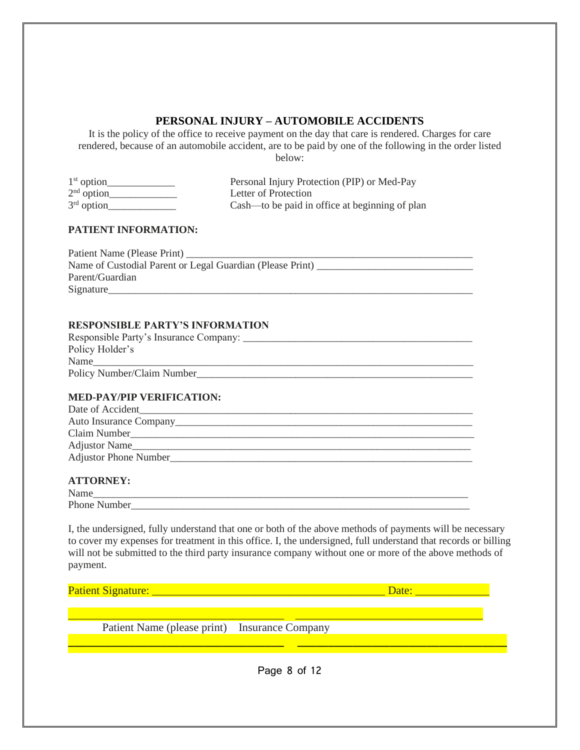## **PERSONAL INJURY – AUTOMOBILE ACCIDENTS**

It is the policy of the office to receive payment on the day that care is rendered. Charges for care rendered, because of an automobile accident, are to be paid by one of the following in the order listed below:

| $1st$ option | Personal Injury Protection (PIP) or Med-Pay    |
|--------------|------------------------------------------------|
| $2nd$ option | Letter of Protection                           |
| $3rd$ option | Cash—to be paid in office at beginning of plan |

#### **PATIENT INFORMATION:**

Patient Name (Please Print) \_\_\_\_\_\_\_\_\_\_\_\_\_\_\_\_\_\_\_\_\_\_\_\_\_\_\_\_\_\_\_\_\_\_\_\_\_\_\_\_\_\_\_\_\_\_\_\_\_\_\_\_\_\_\_ Name of Custodial Parent or Legal Guardian (Please Print) \_\_\_\_\_\_\_\_\_\_\_\_\_\_\_\_\_\_\_\_\_\_\_\_\_\_\_\_\_\_ Parent/Guardian Signature

#### **RESPONSIBLE PARTY'S INFORMATION**

| Responsible Party's Insurance Company: |
|----------------------------------------|
| Policy Holder's                        |
| Name                                   |
| Policy Number/Claim Number             |

#### **MED-PAY/PIP VERIFICATION:**

| Date of Accident             |
|------------------------------|
| Auto Insurance Company       |
| Claim Number                 |
| <b>Adjustor Name</b>         |
| <b>Adjustor Phone Number</b> |
|                              |

#### **ATTORNEY:**

| N<br><b>Name</b>         |  |  |  |
|--------------------------|--|--|--|
| Phone Number             |  |  |  |
| $\overline{\phantom{a}}$ |  |  |  |

I, the undersigned, fully understand that one or both of the above methods of payments will be necessary to cover my expenses for treatment in this office. I, the undersigned, full understand that records or billing will not be submitted to the third party insurance company without one or more of the above methods of payment.

| Patient Signature:                            | Date: |
|-----------------------------------------------|-------|
|                                               |       |
| Patient Name (please print) Insurance Company |       |
|                                               |       |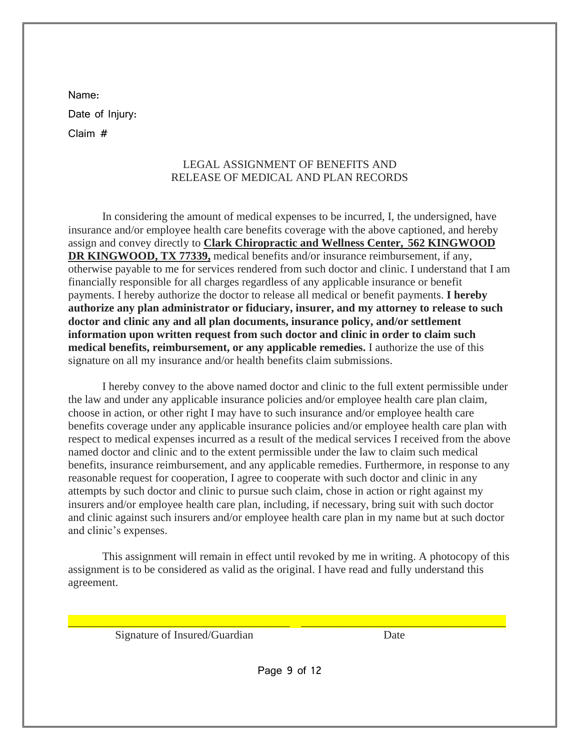Name:

Date of Injury:

Claim #

## LEGAL ASSIGNMENT OF BENEFITS AND RELEASE OF MEDICAL AND PLAN RECORDS

In considering the amount of medical expenses to be incurred, I, the undersigned, have insurance and/or employee health care benefits coverage with the above captioned, and hereby assign and convey directly to **Clark Chiropractic and Wellness Center, 562 KINGWOOD DR KINGWOOD, TX 77339,** medical benefits and/or insurance reimbursement, if any, otherwise payable to me for services rendered from such doctor and clinic. I understand that I am financially responsible for all charges regardless of any applicable insurance or benefit payments. I hereby authorize the doctor to release all medical or benefit payments. **I hereby authorize any plan administrator or fiduciary, insurer, and my attorney to release to such doctor and clinic any and all plan documents, insurance policy, and/or settlement information upon written request from such doctor and clinic in order to claim such medical benefits, reimbursement, or any applicable remedies.** I authorize the use of this signature on all my insurance and/or health benefits claim submissions.

I hereby convey to the above named doctor and clinic to the full extent permissible under the law and under any applicable insurance policies and/or employee health care plan claim, choose in action, or other right I may have to such insurance and/or employee health care benefits coverage under any applicable insurance policies and/or employee health care plan with respect to medical expenses incurred as a result of the medical services I received from the above named doctor and clinic and to the extent permissible under the law to claim such medical benefits, insurance reimbursement, and any applicable remedies. Furthermore, in response to any reasonable request for cooperation, I agree to cooperate with such doctor and clinic in any attempts by such doctor and clinic to pursue such claim, chose in action or right against my insurers and/or employee health care plan, including, if necessary, bring suit with such doctor and clinic against such insurers and/or employee health care plan in my name but at such doctor and clinic's expenses.

This assignment will remain in effect until revoked by me in writing. A photocopy of this assignment is to be considered as valid as the original. I have read and fully understand this agreement.

Signature of Insured/Guardian Date

\_\_\_\_\_\_\_\_\_\_\_\_\_\_\_\_\_\_\_\_\_\_\_\_\_\_\_\_\_\_\_\_\_\_\_\_\_\_\_ \_\_\_\_\_\_\_\_\_\_\_\_\_\_\_\_\_\_\_\_\_\_\_\_\_\_\_\_\_\_\_\_\_\_\_\_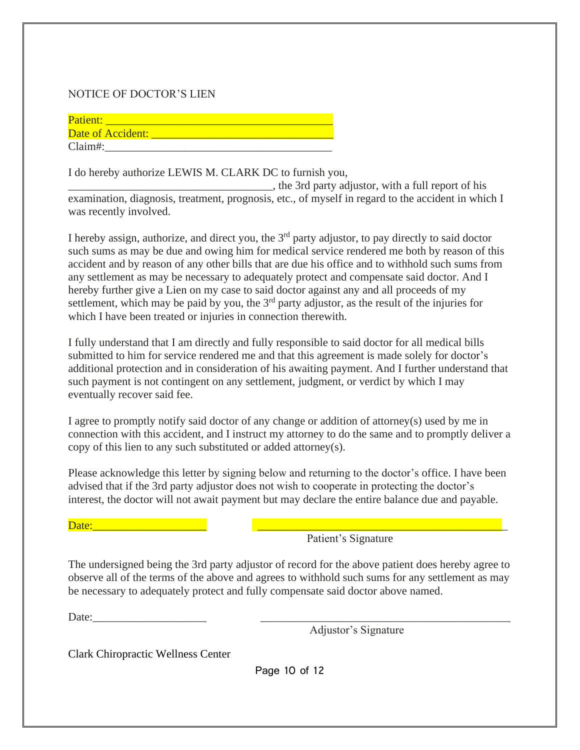### NOTICE OF DOCTOR'S LIEN

| Patient:          |  |
|-------------------|--|
| Date of Accident: |  |
| Claim#:           |  |

I do hereby authorize LEWIS M. CLARK DC to furnish you,

\_\_\_\_\_\_\_\_\_\_\_\_\_\_\_\_\_\_\_\_\_\_\_\_\_\_\_\_\_\_\_\_\_\_\_\_, the 3rd party adjustor, with a full report of his examination, diagnosis, treatment, prognosis, etc., of myself in regard to the accident in which I was recently involved.

I hereby assign, authorize, and direct you, the  $3<sup>rd</sup>$  party adjustor, to pay directly to said doctor such sums as may be due and owing him for medical service rendered me both by reason of this accident and by reason of any other bills that are due his office and to withhold such sums from any settlement as may be necessary to adequately protect and compensate said doctor. And I hereby further give a Lien on my case to said doctor against any and all proceeds of my settlement, which may be paid by you, the  $3<sup>rd</sup>$  party adjustor, as the result of the injuries for which I have been treated or injuries in connection therewith.

I fully understand that I am directly and fully responsible to said doctor for all medical bills submitted to him for service rendered me and that this agreement is made solely for doctor's additional protection and in consideration of his awaiting payment. And I further understand that such payment is not contingent on any settlement, judgment, or verdict by which I may eventually recover said fee.

I agree to promptly notify said doctor of any change or addition of attorney(s) used by me in connection with this accident, and I instruct my attorney to do the same and to promptly deliver a copy of this lien to any such substituted or added attorney(s).

Please acknowledge this letter by signing below and returning to the doctor's office. I have been advised that if the 3rd party adjustor does not wish to cooperate in protecting the doctor's interest, the doctor will not await payment but may declare the entire balance due and payable.

 $Date:$   $\Box$ 

Patient's Signature

The undersigned being the 3rd party adjustor of record for the above patient does hereby agree to observe all of the terms of the above and agrees to withhold such sums for any settlement as may be necessary to adequately protect and fully compensate said doctor above named.

Date:\_\_\_\_\_\_\_\_\_\_\_\_\_\_\_\_\_\_\_\_ \_\_\_\_\_\_\_\_\_\_\_\_\_\_\_\_\_\_\_\_\_\_\_\_\_\_\_\_\_\_\_\_\_\_\_\_\_\_\_\_\_\_\_\_

Adjustor's Signature

Clark Chiropractic Wellness Center

Page 10 of 12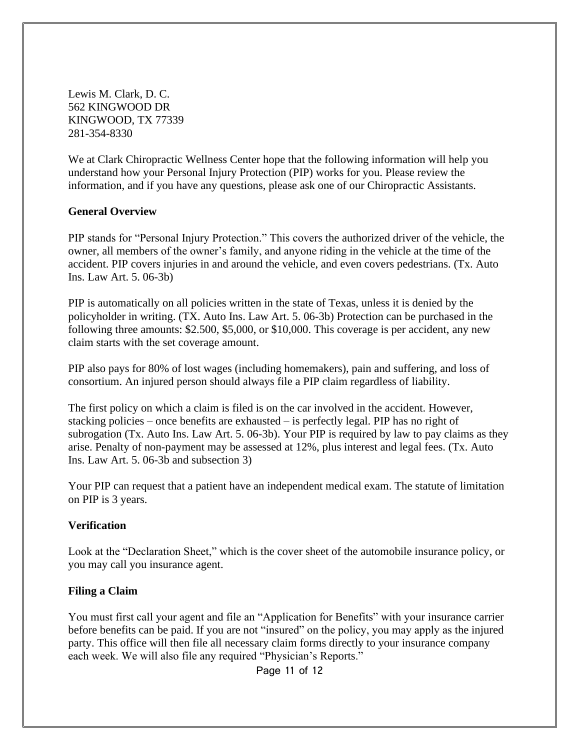Lewis M. Clark, D. C. 562 KINGWOOD DR KINGWOOD, TX 77339 281-354-8330

We at Clark Chiropractic Wellness Center hope that the following information will help you understand how your Personal Injury Protection (PIP) works for you. Please review the information, and if you have any questions, please ask one of our Chiropractic Assistants.

### **General Overview**

PIP stands for "Personal Injury Protection." This covers the authorized driver of the vehicle, the owner, all members of the owner's family, and anyone riding in the vehicle at the time of the accident. PIP covers injuries in and around the vehicle, and even covers pedestrians. (Tx. Auto Ins. Law Art. 5. 06-3b)

PIP is automatically on all policies written in the state of Texas, unless it is denied by the policyholder in writing. (TX. Auto Ins. Law Art. 5. 06-3b) Protection can be purchased in the following three amounts: \$2.500, \$5,000, or \$10,000. This coverage is per accident, any new claim starts with the set coverage amount.

PIP also pays for 80% of lost wages (including homemakers), pain and suffering, and loss of consortium. An injured person should always file a PIP claim regardless of liability.

The first policy on which a claim is filed is on the car involved in the accident. However, stacking policies – once benefits are exhausted – is perfectly legal. PIP has no right of subrogation (Tx. Auto Ins. Law Art. 5. 06-3b). Your PIP is required by law to pay claims as they arise. Penalty of non-payment may be assessed at 12%, plus interest and legal fees. (Tx. Auto Ins. Law Art. 5. 06-3b and subsection 3)

Your PIP can request that a patient have an independent medical exam. The statute of limitation on PIP is 3 years.

### **Verification**

Look at the "Declaration Sheet," which is the cover sheet of the automobile insurance policy, or you may call you insurance agent.

### **Filing a Claim**

You must first call your agent and file an "Application for Benefits" with your insurance carrier before benefits can be paid. If you are not "insured" on the policy, you may apply as the injured party. This office will then file all necessary claim forms directly to your insurance company each week. We will also file any required "Physician's Reports."